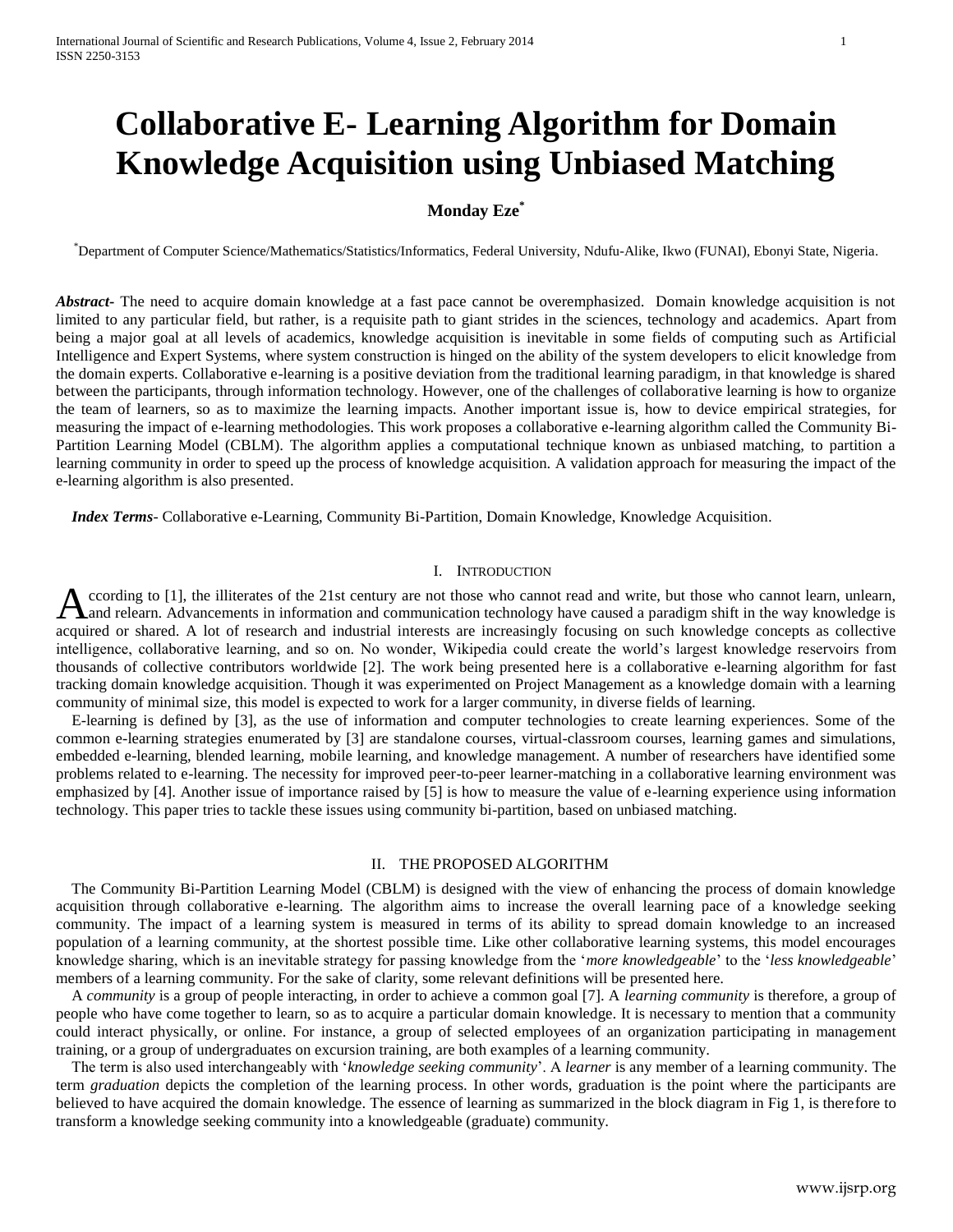# **Collaborative E- Learning Algorithm for Domain Knowledge Acquisition using Unbiased Matching**

# **Monday Eze\***

\*Department of Computer Science/Mathematics/Statistics/Informatics, Federal University, Ndufu-Alike, Ikwo (FUNAI), Ebonyi State, Nigeria.

*Abstract***-** The need to acquire domain knowledge at a fast pace cannot be overemphasized. Domain knowledge acquisition is not limited to any particular field, but rather, is a requisite path to giant strides in the sciences, technology and academics. Apart from being a major goal at all levels of academics, knowledge acquisition is inevitable in some fields of computing such as Artificial Intelligence and Expert Systems, where system construction is hinged on the ability of the system developers to elicit knowledge from the domain experts. Collaborative e-learning is a positive deviation from the traditional learning paradigm, in that knowledge is shared between the participants, through information technology. However, one of the challenges of collaborative learning is how to organize the team of learners, so as to maximize the learning impacts. Another important issue is, how to device empirical strategies, for measuring the impact of e-learning methodologies. This work proposes a collaborative e-learning algorithm called the Community Bi-Partition Learning Model (CBLM). The algorithm applies a computational technique known as unbiased matching, to partition a learning community in order to speed up the process of knowledge acquisition. A validation approach for measuring the impact of the e-learning algorithm is also presented.

 *Index Terms*- Collaborative e-Learning, Community Bi-Partition, Domain Knowledge, Knowledge Acquisition.

#### I. INTRODUCTION

ccording to [1], the illiterates of the 21st century are not those who cannot read and write, but those who cannot learn, unlearn, and relearn. Advancements in information and communication technology have caused a paradigm shift in the way knowledge is acquired or shared. A lot of research and industrial interests are increasingly focusing on such knowledge concepts as collective intelligence, collaborative learning, and so on. No wonder, Wikipedia could create the world's largest knowledge reservoirs from thousands of collective contributors worldwide [2]. The work being presented here is a collaborative e-learning algorithm for fast tracking domain knowledge acquisition. Though it was experimented on Project Management as a knowledge domain with a learning community of minimal size, this model is expected to work for a larger community, in diverse fields of learning. A

 E-learning is defined by [3], as the use of information and computer technologies to create learning experiences. Some of the common e-learning strategies enumerated by [3] are standalone courses, virtual-classroom courses, learning games and simulations, embedded e-learning, blended learning, mobile learning, and knowledge management. A number of researchers have identified some problems related to e-learning. The necessity for improved peer-to-peer learner-matching in a collaborative learning environment was emphasized by [4]. Another issue of importance raised by [5] is how to measure the value of e-learning experience using information technology. This paper tries to tackle these issues using community bi-partition, based on unbiased matching.

#### II. THE PROPOSED ALGORITHM

 The Community Bi-Partition Learning Model (CBLM) is designed with the view of enhancing the process of domain knowledge acquisition through collaborative e-learning. The algorithm aims to increase the overall learning pace of a knowledge seeking community. The impact of a learning system is measured in terms of its ability to spread domain knowledge to an increased population of a learning community, at the shortest possible time. Like other collaborative learning systems, this model encourages knowledge sharing, which is an inevitable strategy for passing knowledge from the '*more knowledgeable*' to the '*less knowledgeable*' members of a learning community. For the sake of clarity, some relevant definitions will be presented here.

 A *community* is a group of people interacting, in order to achieve a common goal [7]. A *learning community* is therefore, a group of people who have come together to learn, so as to acquire a particular domain knowledge. It is necessary to mention that a community could interact physically, or online. For instance, a group of selected employees of an organization participating in management training, or a group of undergraduates on excursion training, are both examples of a learning community.

 The term is also used interchangeably with '*knowledge seeking community*'. A *learner* is any member of a learning community. The term *graduation* depicts the completion of the learning process. In other words, graduation is the point where the participants are believed to have acquired the domain knowledge. The essence of learning as summarized in the block diagram in Fig 1, is therefore to transform a knowledge seeking community into a knowledgeable (graduate) community.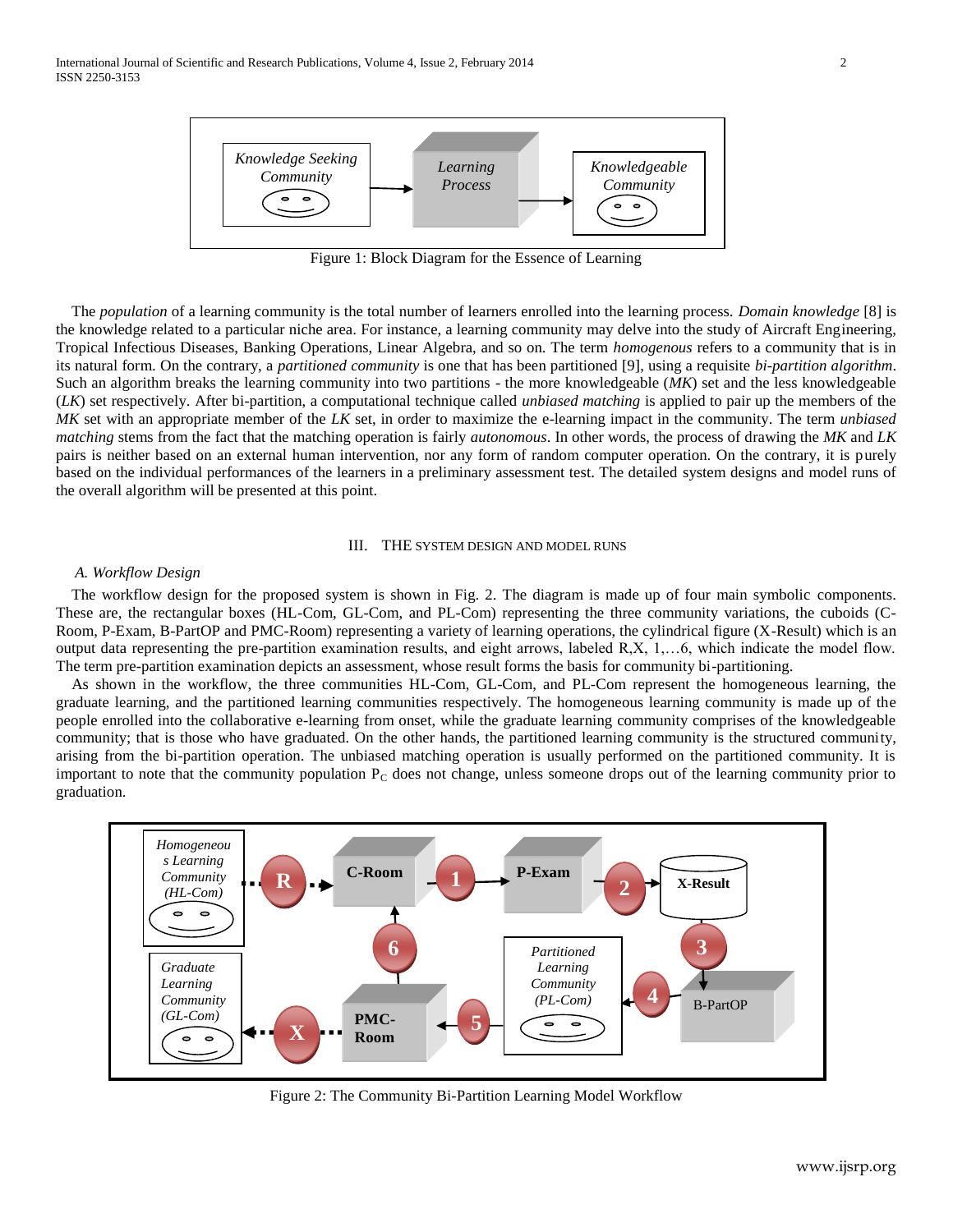

Figure 1: Block Diagram for the Essence of Learning

 The *population* of a learning community is the total number of learners enrolled into the learning process. *Domain knowledge* [8] is the knowledge related to a particular niche area. For instance, a learning community may delve into the study of Aircraft Engineering, Tropical Infectious Diseases, Banking Operations, Linear Algebra, and so on. The term *homogenous* refers to a community that is in its natural form. On the contrary, a *partitioned community* is one that has been partitioned [9], using a requisite *bi-partition algorithm*. Such an algorithm breaks the learning community into two partitions - the more knowledgeable (*MK*) set and the less knowledgeable (*LK*) set respectively. After bi-partition, a computational technique called *unbiased matching* is applied to pair up the members of the *MK* set with an appropriate member of the *LK* set, in order to maximize the e-learning impact in the community. The term *unbiased matching* stems from the fact that the matching operation is fairly *autonomous*. In other words, the process of drawing the *MK* and *LK* pairs is neither based on an external human intervention, nor any form of random computer operation. On the contrary, it is purely based on the individual performances of the learners in a preliminary assessment test. The detailed system designs and model runs of the overall algorithm will be presented at this point.

#### III. THE SYSTEM DESIGN AND MODEL RUNS

#### *A. Workflow Design*

 The workflow design for the proposed system is shown in Fig. 2. The diagram is made up of four main symbolic components. These are, the rectangular boxes (HL-Com, GL-Com, and PL-Com) representing the three community variations, the cuboids (C-Room, P-Exam, B-PartOP and PMC-Room) representing a variety of learning operations, the cylindrical figure (X-Result) which is an output data representing the pre-partition examination results, and eight arrows, labeled R,X, 1,…6, which indicate the model flow. The term pre-partition examination depicts an assessment, whose result forms the basis for community bi-partitioning.

 As shown in the workflow, the three communities HL-Com, GL-Com, and PL-Com represent the homogeneous learning, the graduate learning, and the partitioned learning communities respectively. The homogeneous learning community is made up of the people enrolled into the collaborative e-learning from onset, while the graduate learning community comprises of the knowledgeable community; that is those who have graduated. On the other hands, the partitioned learning community is the structured community, arising from the bi-partition operation. The unbiased matching operation is usually performed on the partitioned community. It is important to note that the community population  $P_c$  does not change, unless someone drops out of the learning community prior to graduation.



Figure 2: The Community Bi-Partition Learning Model Workflow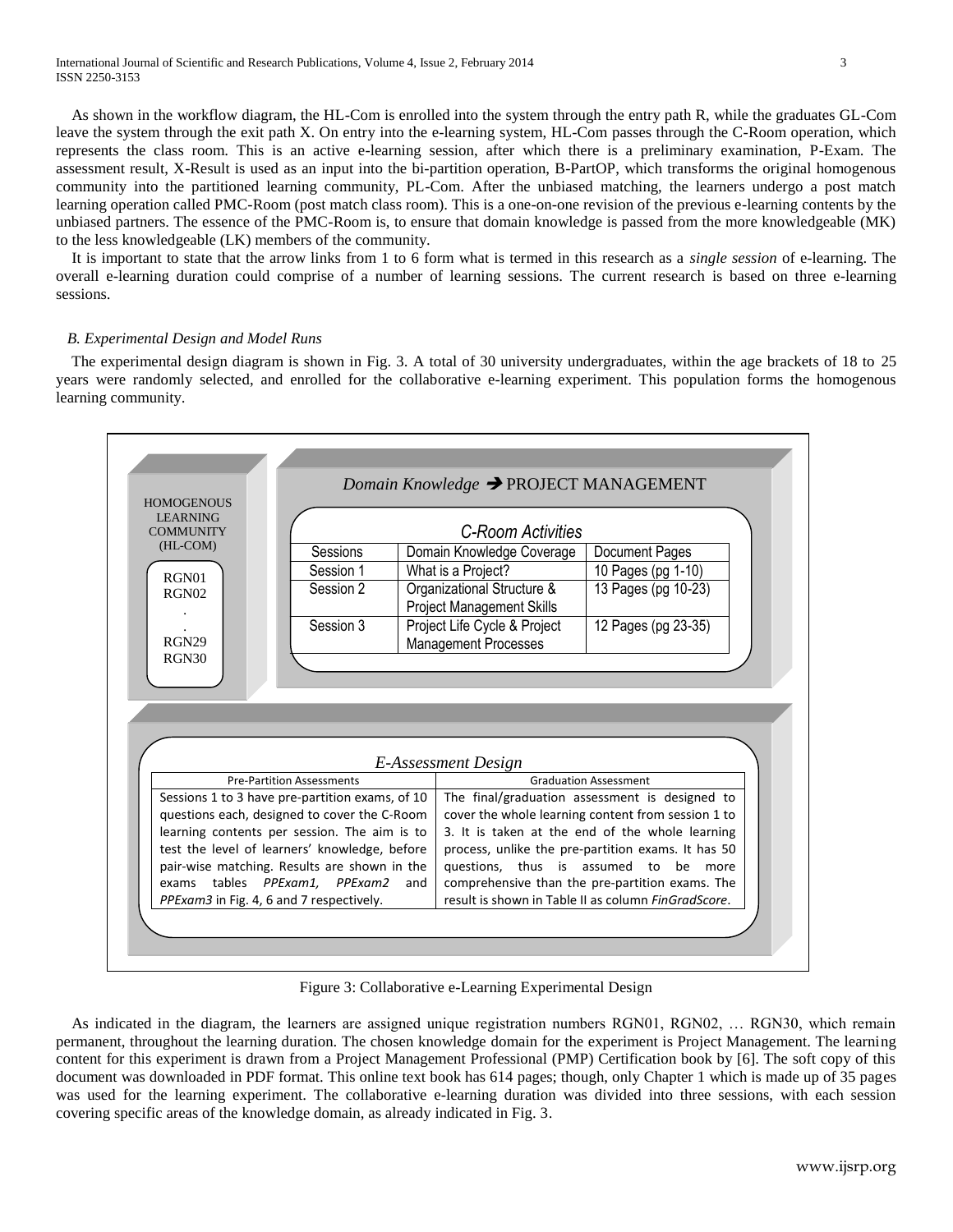International Journal of Scientific and Research Publications, Volume 4, Issue 2, February 2014 3 ISSN 2250-3153

 As shown in the workflow diagram, the HL-Com is enrolled into the system through the entry path R, while the graduates GL-Com leave the system through the exit path X. On entry into the e-learning system, HL-Com passes through the C-Room operation, which represents the class room. This is an active e-learning session, after which there is a preliminary examination, P-Exam. The assessment result, X-Result is used as an input into the bi-partition operation, B-PartOP, which transforms the original homogenous community into the partitioned learning community, PL-Com. After the unbiased matching, the learners undergo a post match learning operation called PMC-Room (post match class room). This is a one-on-one revision of the previous e-learning contents by the unbiased partners. The essence of the PMC-Room is, to ensure that domain knowledge is passed from the more knowledgeable (MK) to the less knowledgeable (LK) members of the community.

 It is important to state that the arrow links from 1 to 6 form what is termed in this research as a *single session* of e-learning. The overall e-learning duration could comprise of a number of learning sessions. The current research is based on three e-learning sessions.

#### *B. Experimental Design and Model Runs*

 The experimental design diagram is shown in Fig. 3. A total of 30 university undergraduates, within the age brackets of 18 to 25 years were randomly selected, and enrolled for the collaborative e-learning experiment. This population forms the homogenous learning community.



Figure 3: Collaborative e-Learning Experimental Design

 As indicated in the diagram, the learners are assigned unique registration numbers RGN01, RGN02, … RGN30, which remain permanent, throughout the learning duration. The chosen knowledge domain for the experiment is Project Management. The learning content for this experiment is drawn from a Project Management Professional (PMP) Certification book by [6]. The soft copy of this document was downloaded in PDF format. This online text book has 614 pages; though, only Chapter 1 which is made up of 35 pages was used for the learning experiment. The collaborative e-learning duration was divided into three sessions, with each session covering specific areas of the knowledge domain, as already indicated in Fig. 3.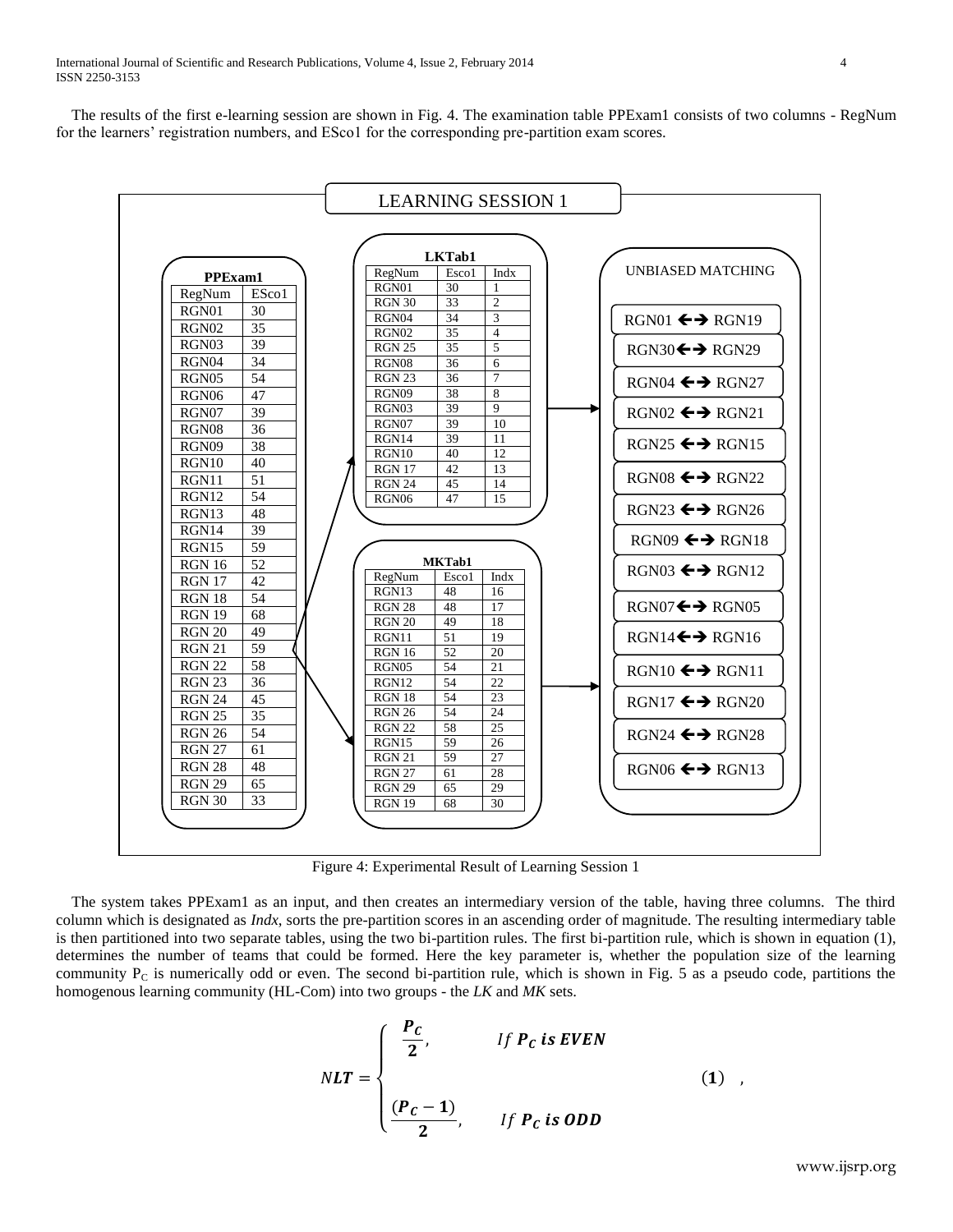The results of the first e-learning session are shown in Fig. 4. The examination table PPExam1 consists of two columns - RegNum for the learners' registration numbers, and ESco1 for the corresponding pre-partition exam scores.



Figure 4: Experimental Result of Learning Session 1

 The system takes PPExam1 as an input, and then creates an intermediary version of the table, having three columns. The third column which is designated as *Indx*, sorts the pre-partition scores in an ascending order of magnitude. The resulting intermediary table is then partitioned into two separate tables, using the two bi-partition rules. The first bi-partition rule, which is shown in equation (1), determines the number of teams that could be formed. Here the key parameter is, whether the population size of the learning community  $P_c$  is numerically odd or even. The second bi-partition rule, which is shown in Fig. 5 as a pseudo code, partitions the homogenous learning community (HL-Com) into two groups - the *LK* and *MK* sets.

$$
NLT = \begin{cases} \frac{P_C}{2}, & \text{if } P_C \text{ is } EVEN \\ \frac{(P_C - 1)}{2}, & \text{if } P_C \text{ is } ODD \end{cases}
$$
 (1)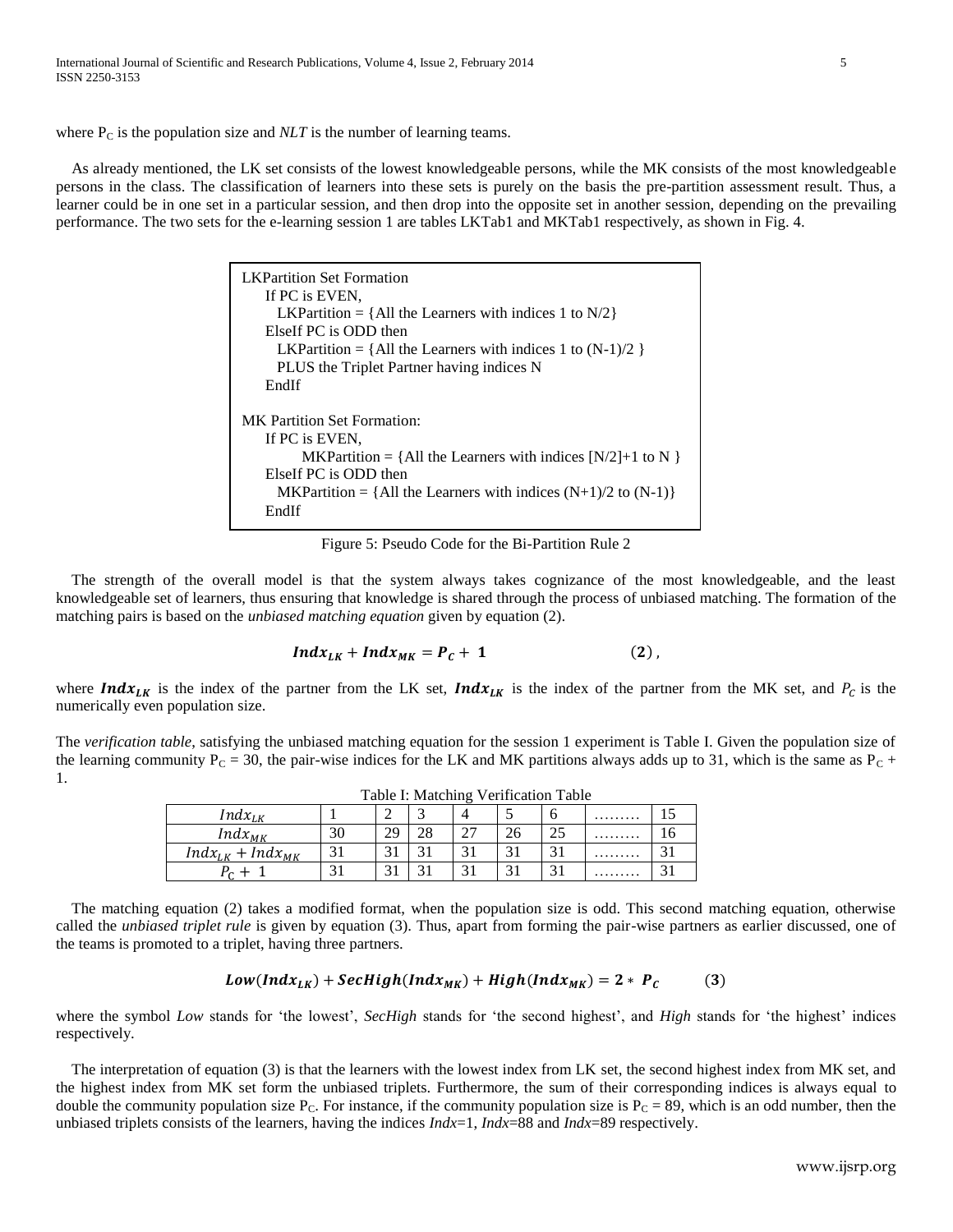where  $P_C$  is the population size and *NLT* is the number of learning teams.

 As already mentioned, the LK set consists of the lowest knowledgeable persons, while the MK consists of the most knowledgeable persons in the class. The classification of learners into these sets is purely on the basis the pre-partition assessment result. Thus, a learner could be in one set in a particular session, and then drop into the opposite set in another session, depending on the prevailing performance. The two sets for the e-learning session 1 are tables LKTab1 and MKTab1 respectively, as shown in Fig. 4.

| LKPartition Set Formation<br>If PC is EVEN.<br>LKPartition = $\{All the Learners with indices 1 to N/2\}$<br>ElseIf PC is ODD then<br>LKPartition = {All the Learners with indices 1 to $(N-1)/2$ }<br>PLUS the Triplet Partner having indices N<br>EndIf |
|-----------------------------------------------------------------------------------------------------------------------------------------------------------------------------------------------------------------------------------------------------------|
| <b>MK</b> Partition Set Formation:                                                                                                                                                                                                                        |
| If PC is EVEN.                                                                                                                                                                                                                                            |
| MKPartition = {All the Learners with indices $[N/2]+1$ to N }                                                                                                                                                                                             |
| ElseIf PC is ODD then                                                                                                                                                                                                                                     |
| MKPartition = {All the Learners with indices $(N+1)/2$ to $(N-1)$ }                                                                                                                                                                                       |
| EndIf                                                                                                                                                                                                                                                     |

Figure 5: Pseudo Code for the Bi-Partition Rule 2

 The strength of the overall model is that the system always takes cognizance of the most knowledgeable, and the least knowledgeable set of learners, thus ensuring that knowledge is shared through the process of unbiased matching. The formation of the matching pairs is based on the *unbiased matching equation* given by equation (2).

$$
Indx_{LK} + Indx_{MK} = P_c + 1 \qquad (2)
$$

where Indx<sub>LK</sub> is the index of the partner from the LK set, Indx<sub>LK</sub> is the index of the partner from the MK set, and  $P_c$  is the numerically even population size.

The *verification table*, satisfying the unbiased matching equation for the session 1 experiment is Table I. Given the population size of the learning community  $P_C = 30$ , the pair-wise indices for the LK and MK partitions always adds up to 31, which is the same as  $P_C$  + 1.

| Table I: Matching Verification Table |    |    |     |             |        |  |   |   |  |  |  |
|--------------------------------------|----|----|-----|-------------|--------|--|---|---|--|--|--|
| $\int$ <i>Indx<sub>LK</sub></i>      |    |    |     |             |        |  | . |   |  |  |  |
| $Indx_{MK}$                          | 30 | 29 | 28  | 27          |        |  | . |   |  |  |  |
| $Indx_{LK}$ + $Indx_{MK}$            |    |    | ⌒ · | $\bigcap$ 1 | $\sim$ |  | . | ◠ |  |  |  |
|                                      |    |    |     | $\sim$      |        |  | . | ◠ |  |  |  |

 The matching equation (2) takes a modified format, when the population size is odd. This second matching equation, otherwise called the *unbiased triplet rule* is given by equation (3). Thus, apart from forming the pair-wise partners as earlier discussed, one of the teams is promoted to a triplet, having three partners.

$$
Low(Indx_{LK}) + SecHigh(Indx_{MK}) + High(Indx_{MK}) = 2 * PC
$$
 (3)

where the symbol *Low* stands for 'the lowest', *SecHigh* stands for 'the second highest', and *High* stands for 'the highest' indices respectively.

 The interpretation of equation (3) is that the learners with the lowest index from LK set, the second highest index from MK set, and the highest index from MK set form the unbiased triplets. Furthermore, the sum of their corresponding indices is always equal to double the community population size  $P_C$ . For instance, if the community population size is  $P_C = 89$ , which is an odd number, then the unbiased triplets consists of the learners, having the indices *Indx*=1, *Indx*=88 and *Indx*=89 respectively.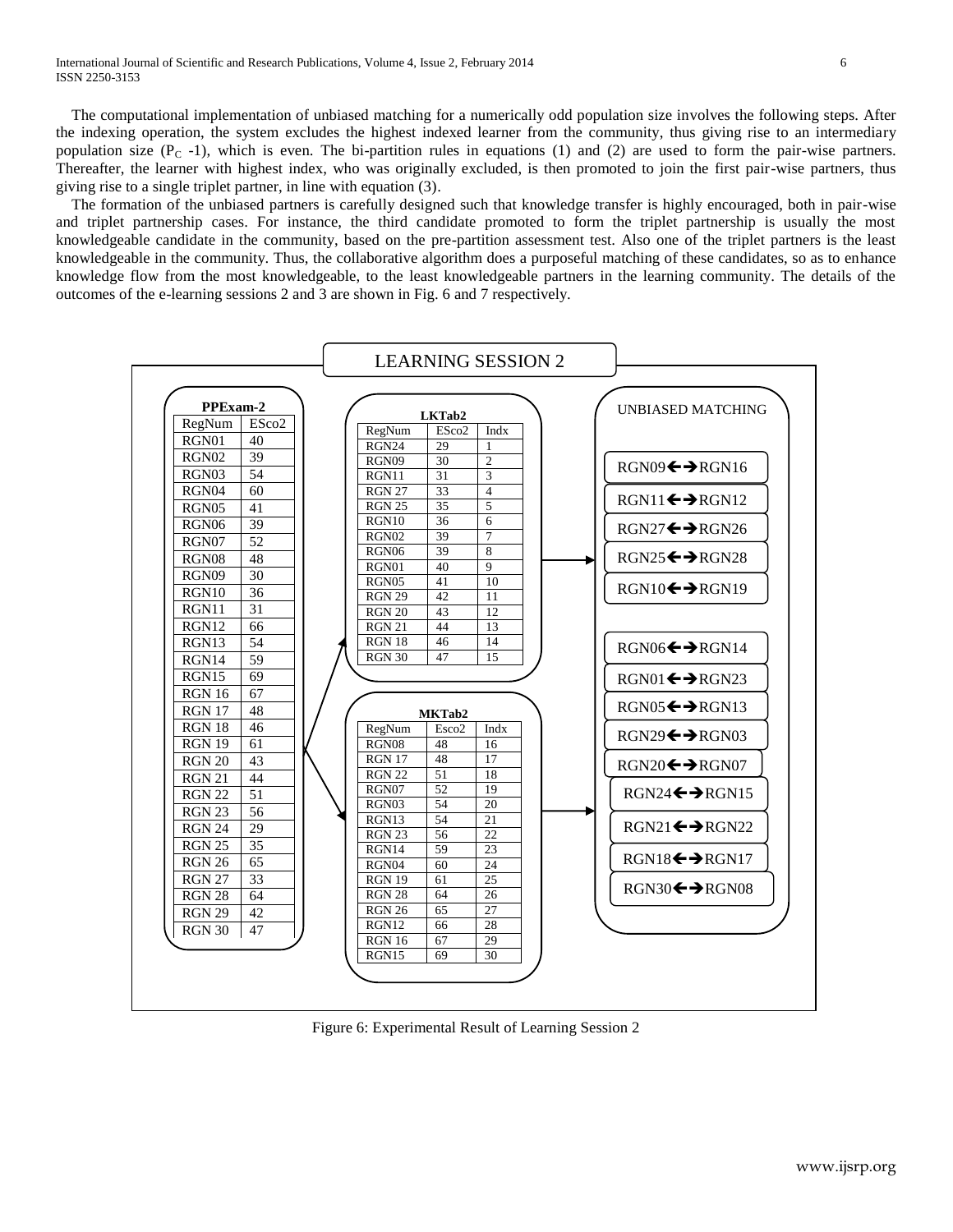The computational implementation of unbiased matching for a numerically odd population size involves the following steps. After the indexing operation, the system excludes the highest indexed learner from the community, thus giving rise to an intermediary population size  $(P_C -1)$ , which is even. The bi-partition rules in equations (1) and (2) are used to form the pair-wise partners. Thereafter, the learner with highest index, who was originally excluded, is then promoted to join the first pair-wise partners, thus giving rise to a single triplet partner, in line with equation (3).

 The formation of the unbiased partners is carefully designed such that knowledge transfer is highly encouraged, both in pair-wise and triplet partnership cases. For instance, the third candidate promoted to form the triplet partnership is usually the most knowledgeable candidate in the community, based on the pre-partition assessment test. Also one of the triplet partners is the least knowledgeable in the community. Thus, the collaborative algorithm does a purposeful matching of these candidates, so as to enhance knowledge flow from the most knowledgeable, to the least knowledgeable partners in the learning community. The details of the outcomes of the e-learning sessions 2 and 3 are shown in Fig. 6 and 7 respectively.



Figure 6: Experimental Result of Learning Session 2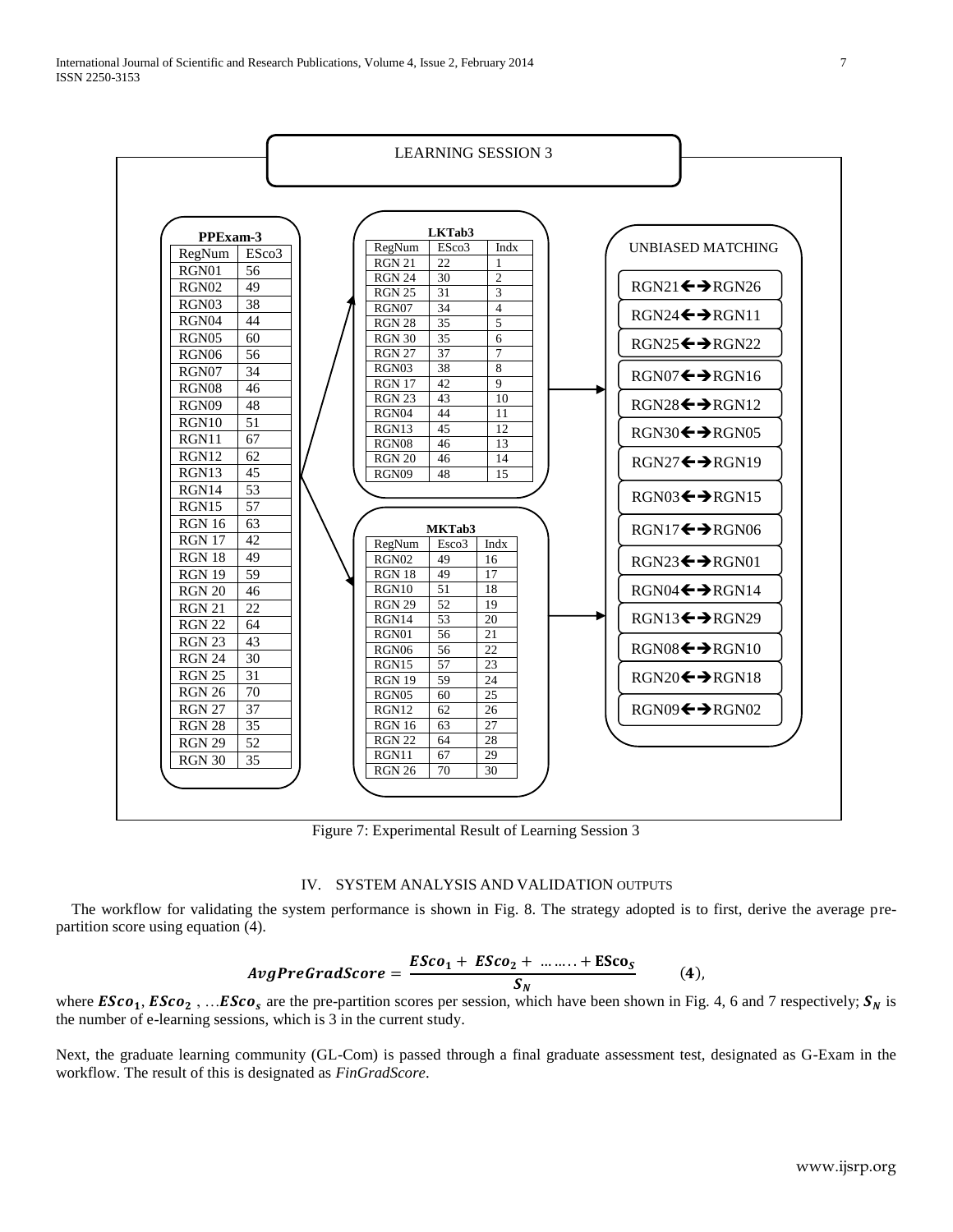

Figure 7: Experimental Result of Learning Session 3

#### IV. SYSTEM ANALYSIS AND VALIDATION OUTPUTS

 The workflow for validating the system performance is shown in Fig. 8. The strategy adopted is to first, derive the average prepartition score using equation (4).

$$
AvgPredScore = \frac{ESco_1 + ESCo_2 + \dots + ESco_S}{S_N}
$$
 (4)

where  $\mathbf{E} \mathbf{S} \mathbf{c} \mathbf{o}_1$ ,  $\mathbf{E} \mathbf{S} \mathbf{c} \mathbf{o}_2$ , ...  $\mathbf{E} \mathbf{S} \mathbf{c} \mathbf{o}_s$  are the pre-partition scores per session, which have been shown in Fig. 4, 6 and 7 respectively;  $\mathbf{S}_N$  is the number of e-learning sessions, which is 3 in the current study.

Next, the graduate learning community (GL-Com) is passed through a final graduate assessment test, designated as G-Exam in the workflow. The result of this is designated as *FinGradScore*.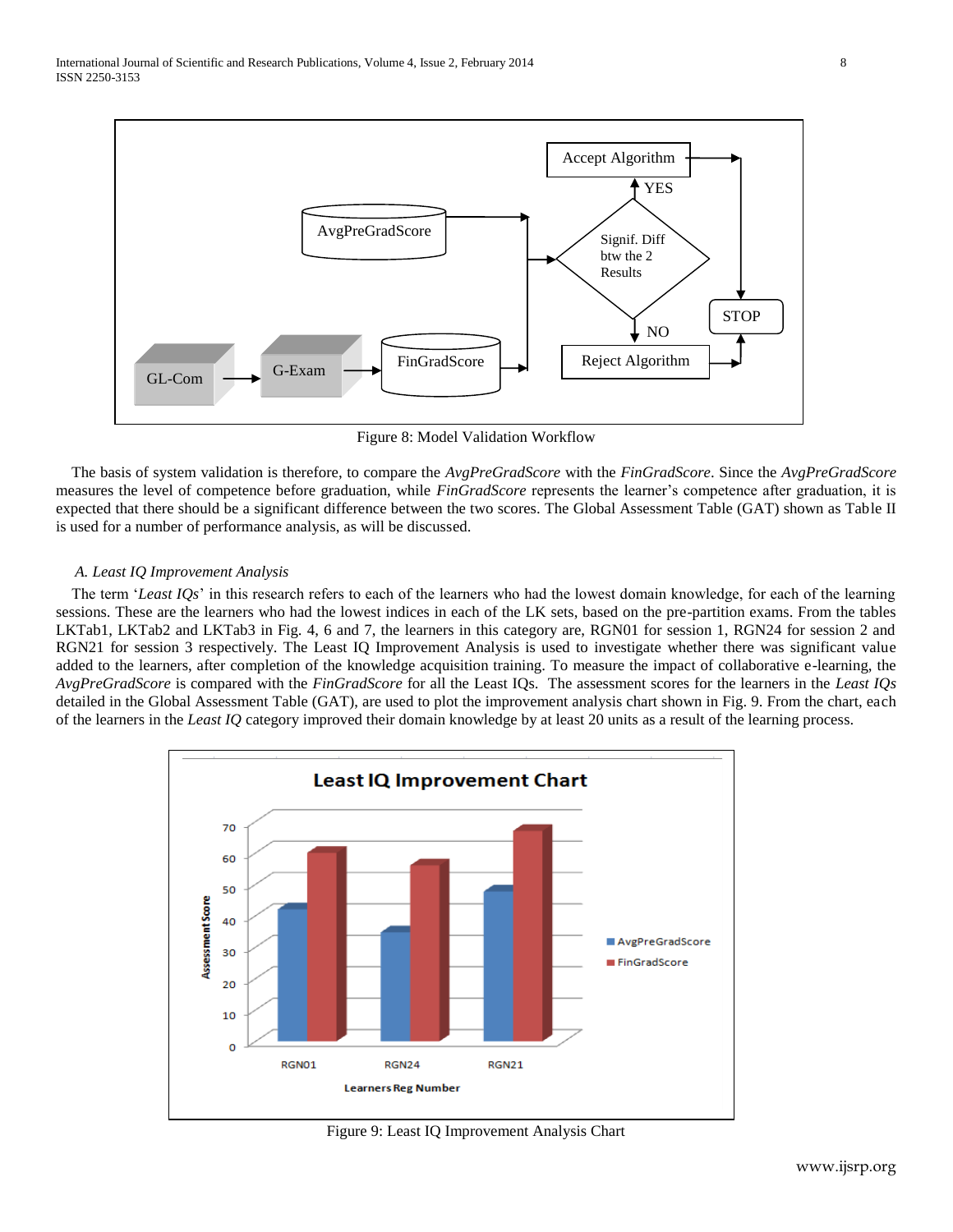

Figure 8: Model Validation Workflow

 The basis of system validation is therefore, to compare the *AvgPreGradScore* with the *FinGradScore*. Since the *AvgPreGradScore* measures the level of competence before graduation, while *FinGradScore* represents the learner's competence after graduation, it is expected that there should be a significant difference between the two scores. The Global Assessment Table (GAT) shown as Table II is used for a number of performance analysis, as will be discussed.

## *A. Least IQ Improvement Analysis*

 The term '*Least IQs*' in this research refers to each of the learners who had the lowest domain knowledge, for each of the learning sessions. These are the learners who had the lowest indices in each of the LK sets, based on the pre-partition exams. From the tables LKTab1, LKTab2 and LKTab3 in Fig. 4, 6 and 7, the learners in this category are, RGN01 for session 1, RGN24 for session 2 and RGN21 for session 3 respectively. The Least IQ Improvement Analysis is used to investigate whether there was significant value added to the learners, after completion of the knowledge acquisition training. To measure the impact of collaborative e-learning, the *AvgPreGradScore* is compared with the *FinGradScore* for all the Least IQs. The assessment scores for the learners in the *Least IQs* detailed in the Global Assessment Table (GAT), are used to plot the improvement analysis chart shown in Fig. 9. From the chart, each of the learners in the *Least IQ* category improved their domain knowledge by at least 20 units as a result of the learning process.



Figure 9: Least IQ Improvement Analysis Chart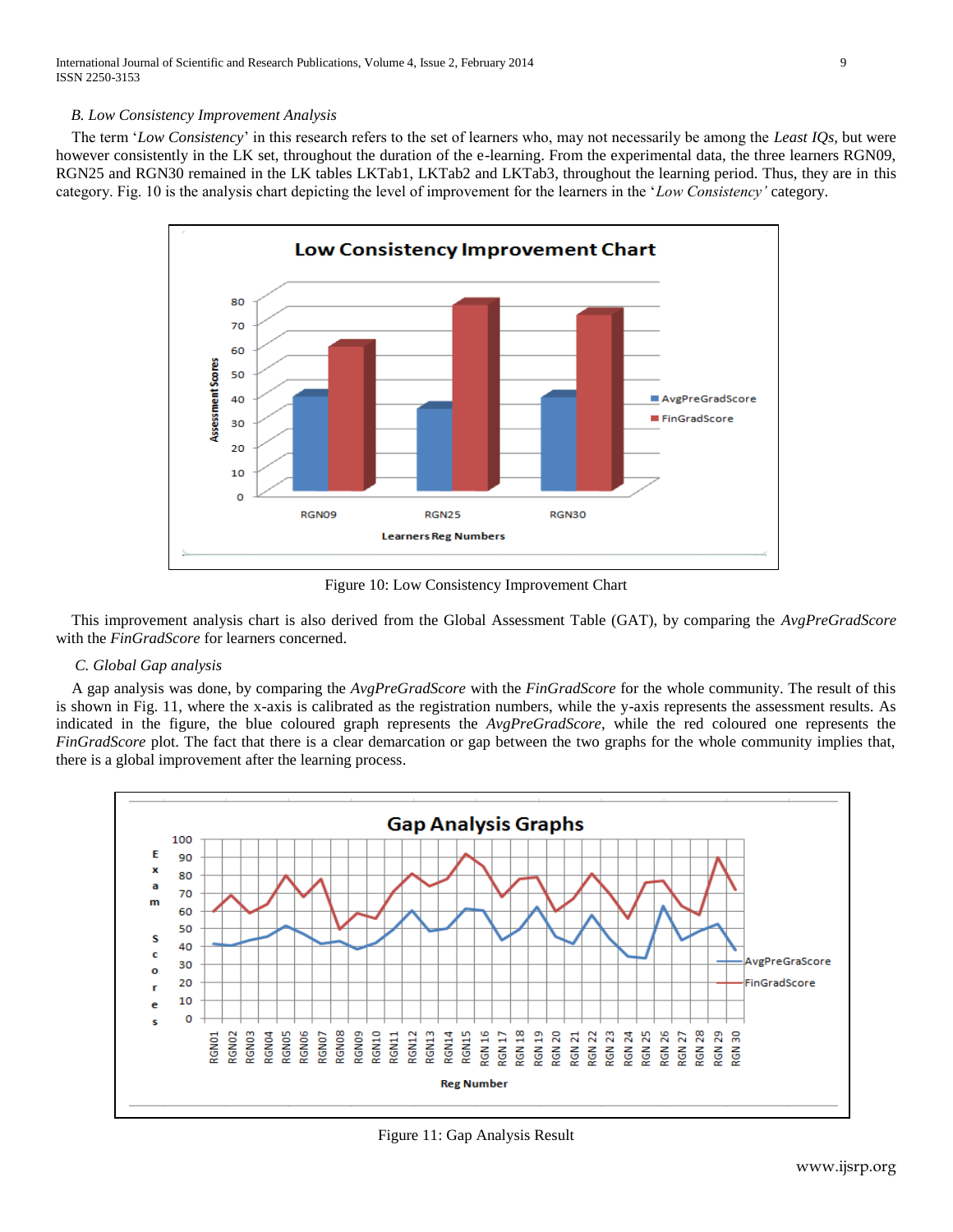International Journal of Scientific and Research Publications, Volume 4, Issue 2, February 2014 9 ISSN 2250-3153

#### *B. Low Consistency Improvement Analysis*

 The term '*Low Consistency*' in this research refers to the set of learners who, may not necessarily be among the *Least IQs*, but were however consistently in the LK set, throughout the duration of the e-learning. From the experimental data, the three learners RGN09, RGN25 and RGN30 remained in the LK tables LKTab1, LKTab2 and LKTab3, throughout the learning period. Thus, they are in this category. Fig. 10 is the analysis chart depicting the level of improvement for the learners in the '*Low Consistency'* category.



Figure 10: Low Consistency Improvement Chart

 This improvement analysis chart is also derived from the Global Assessment Table (GAT), by comparing the *AvgPreGradScore*  with the *FinGradScore* for learners concerned.

## *C. Global Gap analysis*

 A gap analysis was done, by comparing the *AvgPreGradScore* with the *FinGradScore* for the whole community. The result of this is shown in Fig. 11, where the x-axis is calibrated as the registration numbers, while the y-axis represents the assessment results. As indicated in the figure, the blue coloured graph represents the *AvgPreGradScore*, while the red coloured one represents the *FinGradScore* plot. The fact that there is a clear demarcation or gap between the two graphs for the whole community implies that, there is a global improvement after the learning process.



Figure 11: Gap Analysis Result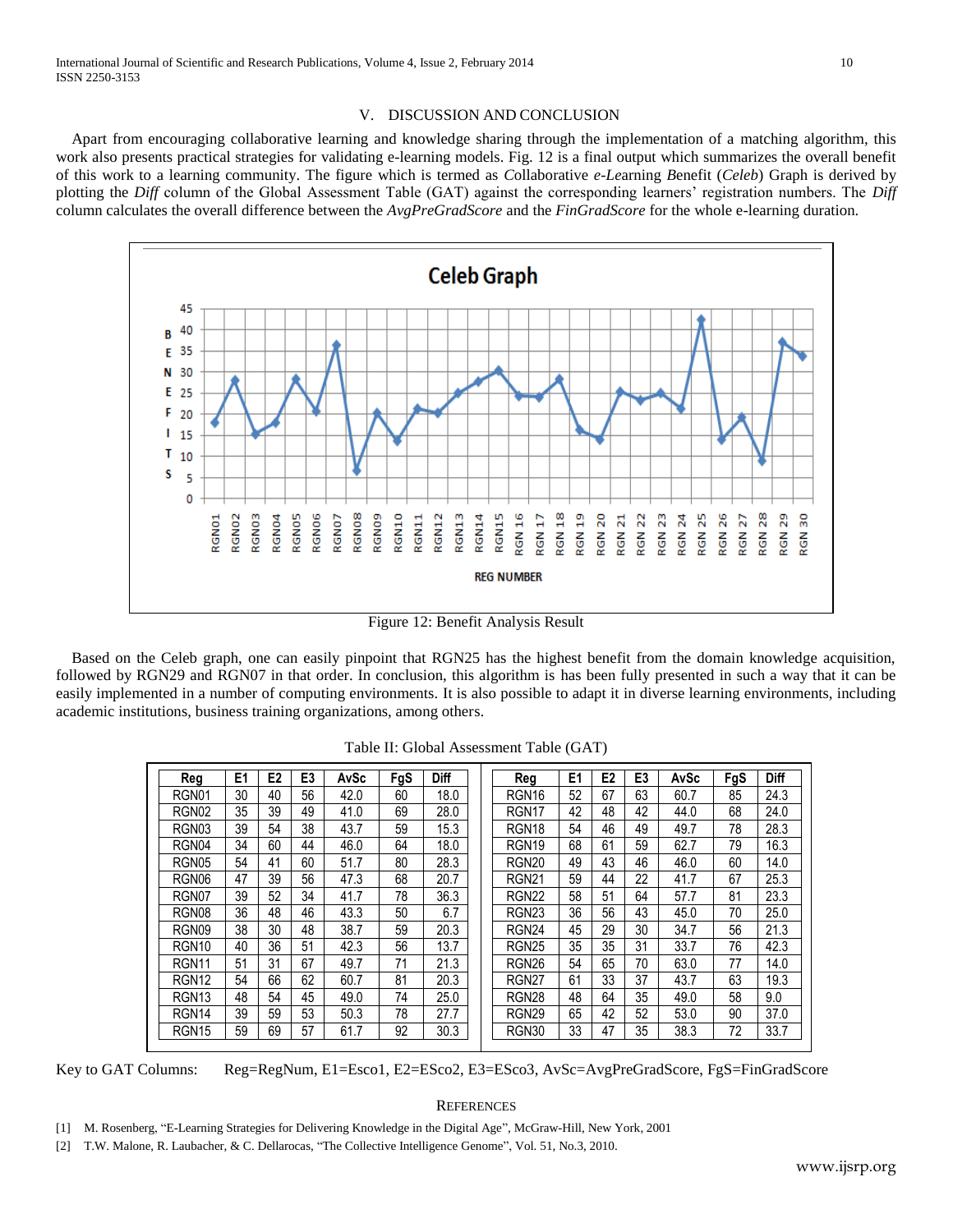#### V. DISCUSSION AND CONCLUSION

 Apart from encouraging collaborative learning and knowledge sharing through the implementation of a matching algorithm, this work also presents practical strategies for validating e-learning models. Fig. 12 is a final output which summarizes the overall benefit of this work to a learning community. The figure which is termed as *C*ollaborative *e*-*Le*arning *B*enefit (*Celeb*) Graph is derived by plotting the *Diff* column of the Global Assessment Table (GAT) against the corresponding learners' registration numbers. The *Diff* column calculates the overall difference between the *AvgPreGradScore* and the *FinGradScore* for the whole e-learning duration.



Figure 12: Benefit Analysis Result

 Based on the Celeb graph, one can easily pinpoint that RGN25 has the highest benefit from the domain knowledge acquisition, followed by RGN29 and RGN07 in that order. In conclusion, this algorithm is has been fully presented in such a way that it can be easily implemented in a number of computing environments. It is also possible to adapt it in diverse learning environments, including academic institutions, business training organizations, among others.

| Req               | E1 | E <sub>2</sub> | E3 | AvSc | FgS | <b>Diff</b> | Reg               | E <sub>1</sub> | E <sub>2</sub> | E3 | AvSc | FgS | <b>Diff</b> |
|-------------------|----|----------------|----|------|-----|-------------|-------------------|----------------|----------------|----|------|-----|-------------|
| RGN01             | 30 | 40             | 56 | 42.0 | 60  | 18.0        | RGN <sub>16</sub> | 52             | 67             | 63 | 60.7 | 85  | 24.3        |
| RGN <sub>02</sub> | 35 | 39             | 49 | 41.0 | 69  | 28.0        | RGN <sub>17</sub> | 42             | 48             | 42 | 44.0 | 68  | 24.0        |
| RGN03             | 39 | 54             | 38 | 43.7 | 59  | 15.3        | RGN <sub>18</sub> | 54             | 46             | 49 | 49.7 | 78  | 28.3        |
| RGN04             | 34 | 60             | 44 | 46.0 | 64  | 18.0        | RGN <sub>19</sub> | 68             | 61             | 59 | 62.7 | 79  | 16.3        |
| RGN05             | 54 | 41             | 60 | 51.7 | 80  | 28.3        | RGN <sub>20</sub> | 49             | 43             | 46 | 46.0 | 60  | 14.0        |
| RGN06             | 47 | 39             | 56 | 47.3 | 68  | 20.7        | <b>RGN21</b>      | 59             | 44             | 22 | 41.7 | 67  | 25.3        |
| RGN07             | 39 | 52             | 34 | 41.7 | 78  | 36.3        | <b>RGN22</b>      | 58             | 51             | 64 | 57.7 | 81  | 23.3        |
| RGN08             | 36 | 48             | 46 | 43.3 | 50  | 6.7         | RGN <sub>23</sub> | 36             | 56             | 43 | 45.0 | 70  | 25.0        |
| RGN09             | 38 | 30             | 48 | 38.7 | 59  | 20.3        | RGN <sub>24</sub> | 45             | 29             | 30 | 34.7 | 56  | 21.3        |
| RGN <sub>10</sub> | 40 | 36             | 51 | 42.3 | 56  | 13.7        | <b>RGN25</b>      | 35             | 35             | 31 | 33.7 | 76  | 42.3        |
| RGN <sub>11</sub> | 51 | 31             | 67 | 49.7 | 71  | 21.3        | RGN <sub>26</sub> | 54             | 65             | 70 | 63.0 | 77  | 14.0        |
| RGN <sub>12</sub> | 54 | 66             | 62 | 60.7 | 81  | 20.3        | RGN <sub>27</sub> | 61             | 33             | 37 | 43.7 | 63  | 19.3        |
| RGN <sub>13</sub> | 48 | 54             | 45 | 49.0 | 74  | 25.0        | RGN <sub>28</sub> | 48             | 64             | 35 | 49.0 | 58  | 9.0         |
| RGN <sub>14</sub> | 39 | 59             | 53 | 50.3 | 78  | 27.7        | RGN <sub>29</sub> | 65             | 42             | 52 | 53.0 | 90  | 37.0        |
| RGN <sub>15</sub> | 59 | 69             | 57 | 61.7 | 92  | 30.3        | RGN30             | 33             | 47             | 35 | 38.3 | 72  | 33.7        |

Table II: Global Assessment Table (GAT)

Key to GAT Columns: Reg=RegNum, E1=Esco1, E2=ESco2, E3=ESco3, AvSc=AvgPreGradScore, FgS=FinGradScore

#### **REFERENCES**

- [1] M. Rosenberg, "E-Learning Strategies for Delivering Knowledge in the Digital Age", McGraw-Hill, New York, 2001
- [2] T.W. Malone, R. Laubacher, & C. Dellarocas, "The Collective Intelligence Genome", Vol. 51, No.3, 2010.